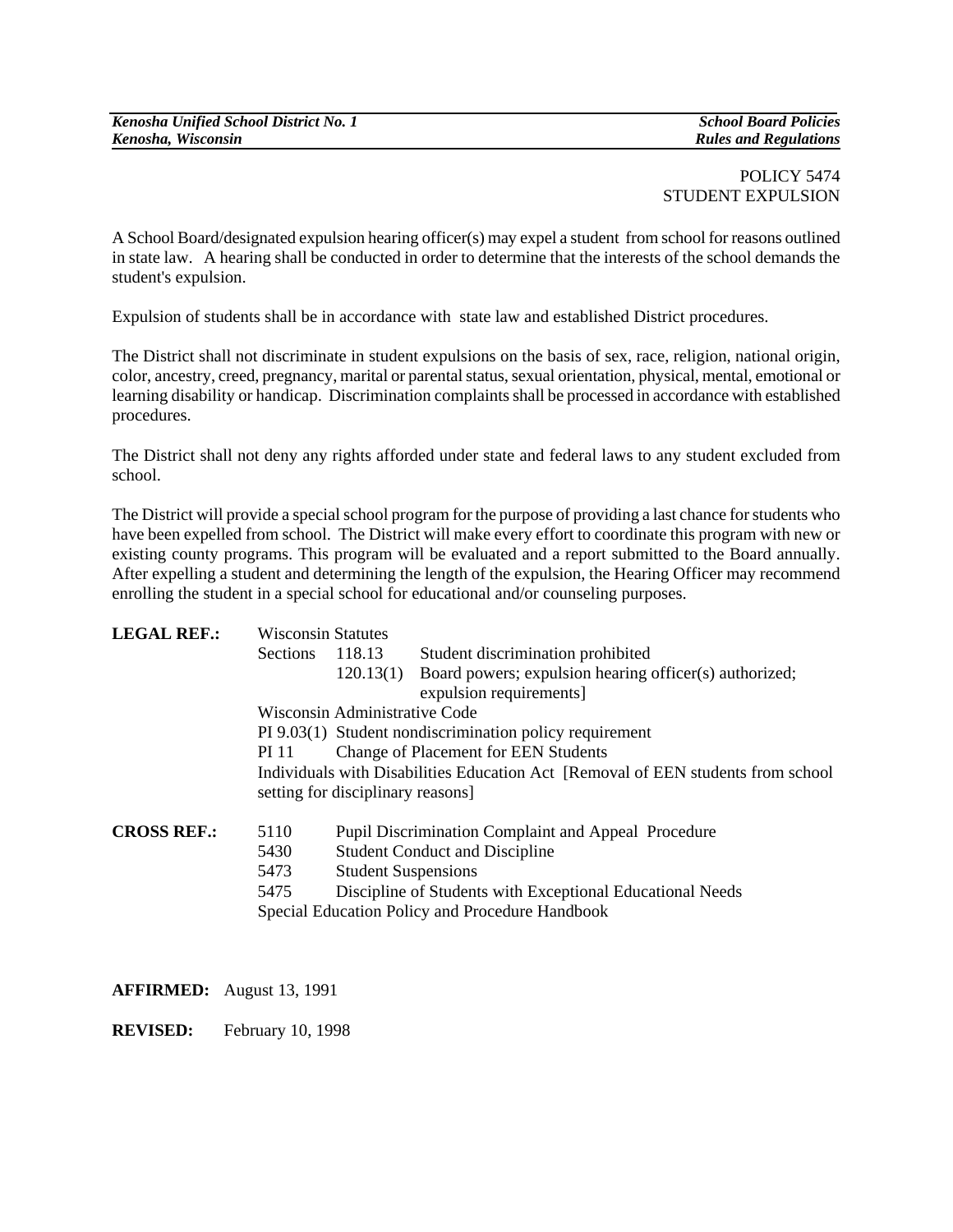## POLICY 5474 STUDENT EXPULSION

A School Board/designated expulsion hearing officer(s) may expel a student from school for reasons outlined in state law.A hearing shall be conducted in order to determine that the interests of the school demands the student's expulsion.

Expulsion of students shall be in accordance with state law and established District procedures.

The District shall not discriminate in student expulsions on the basis of sex, race, religion, national origin, color, ancestry, creed, pregnancy, marital or parental status, sexual orientation, physical, mental, emotional or learning disability or handicap. Discrimination complaints shall be processed in accordance with established procedures.

The District shall not deny any rights afforded under state and federal laws to any student excluded from school.

The District will provide a special school program for the purpose of providing a last chance for students who have been expelled from school. The District will make every effort to coordinate this program with new or existing county programs. This program will be evaluated and a report submitted to the Board annually. After expelling a student and determining the length of the expulsion, the Hearing Officer may recommend enrolling the student in a special school for educational and/or counseling purposes.

| <b>LEGAL REF.:</b>                              | <b>Wisconsin Statutes</b>                                                                                              |                                                           |                                                                  |
|-------------------------------------------------|------------------------------------------------------------------------------------------------------------------------|-----------------------------------------------------------|------------------------------------------------------------------|
|                                                 | Sections                                                                                                               | 118.13                                                    | Student discrimination prohibited                                |
|                                                 |                                                                                                                        |                                                           | 120.13(1) Board powers; expulsion hearing officer(s) authorized; |
|                                                 |                                                                                                                        | expulsion requirements]                                   |                                                                  |
|                                                 | Wisconsin Administrative Code                                                                                          |                                                           |                                                                  |
|                                                 | PI 9.03(1) Student nondiscrimination policy requirement                                                                |                                                           |                                                                  |
|                                                 | <b>Change of Placement for EEN Students</b><br>PI 11                                                                   |                                                           |                                                                  |
|                                                 | Individuals with Disabilities Education Act [Removal of EEN students from school]<br>setting for disciplinary reasons] |                                                           |                                                                  |
|                                                 |                                                                                                                        |                                                           |                                                                  |
| 5430                                            |                                                                                                                        | <b>Student Conduct and Discipline</b>                     |                                                                  |
| 5473                                            | <b>Student Suspensions</b>                                                                                             |                                                           |                                                                  |
| 5475                                            |                                                                                                                        | Discipline of Students with Exceptional Educational Needs |                                                                  |
| Special Education Policy and Procedure Handbook |                                                                                                                        |                                                           |                                                                  |
|                                                 |                                                                                                                        |                                                           |                                                                  |
|                                                 |                                                                                                                        |                                                           |                                                                  |

**AFFIRMED:** August 13, 1991

**REVISED:** February 10, 1998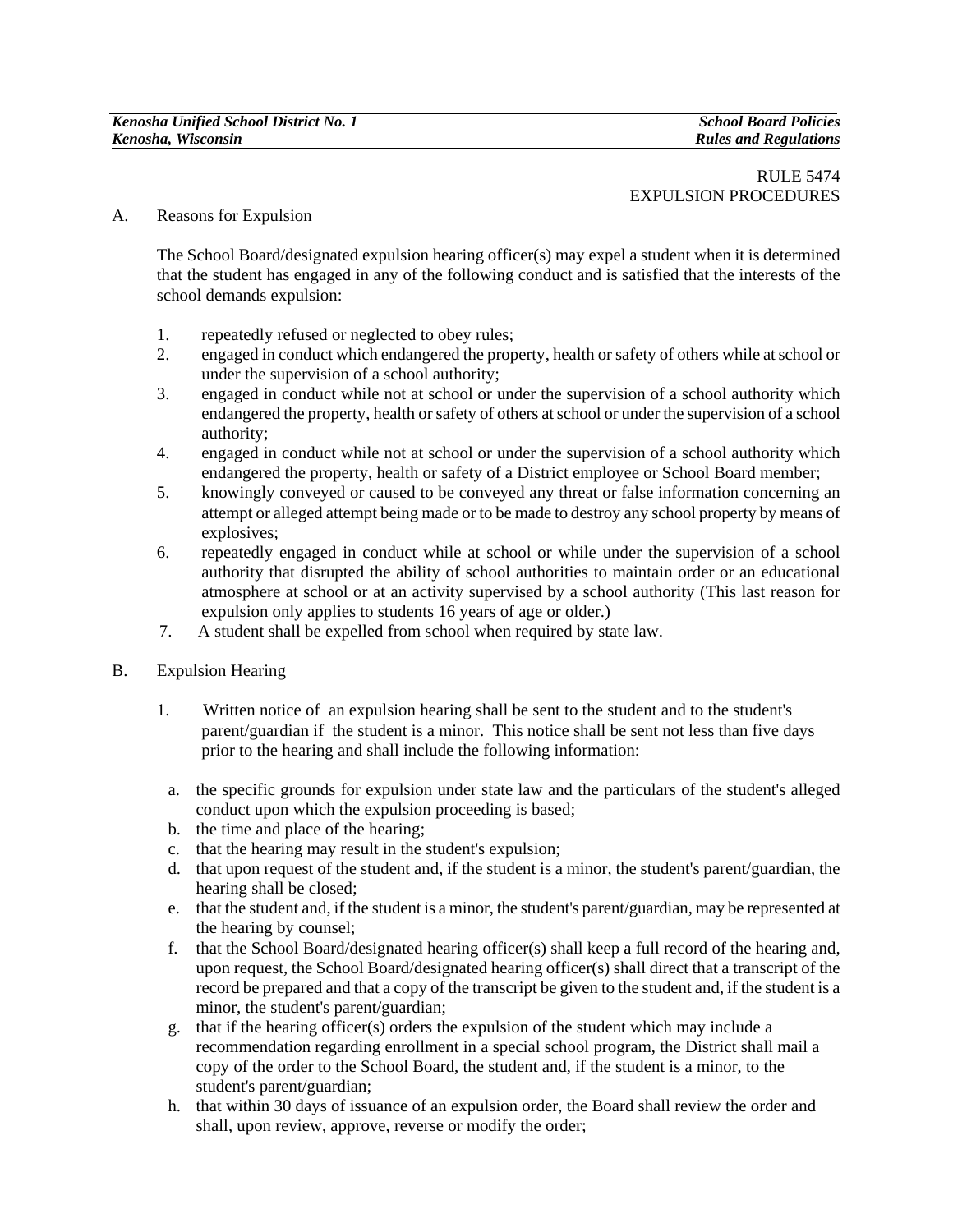## A. Reasons for Expulsion

The School Board/designated expulsion hearing officer(s) may expel a student when it is determined that the student has engaged in any of the following conduct and is satisfied that the interests of the school demands expulsion:

- 1. repeatedly refused or neglected to obey rules;
- 2. engaged in conduct which endangered the property, health or safety of others while at school or under the supervision of a school authority;
- 3. engaged in conduct while not at school or under the supervision of a school authority which endangered the property, health or safety of others at school or under the supervision of a school authority;
- 4. engaged in conduct while not at school or under the supervision of a school authority which endangered the property, health or safety of a District employee or School Board member;
- 5. knowingly conveyed or caused to be conveyed any threat or false information concerning an attempt or alleged attempt being made or to be made to destroy any school property by means of explosives;
- 6. repeatedly engaged in conduct while at school or while under the supervision of a school authority that disrupted the ability of school authorities to maintain order or an educational atmosphere at school or at an activity supervised by a school authority (This last reason for expulsion only applies to students 16 years of age or older.)
- 7. A student shall be expelled from school when required by state law.
- B. Expulsion Hearing
	- 1. Written notice of an expulsion hearing shall be sent to the student and to the student's parent/guardian if the student is a minor. This notice shall be sent not less than five days prior to the hearing and shall include the following information:
		- a. the specific grounds for expulsion under state law and the particulars of the student's alleged conduct upon which the expulsion proceeding is based;
		- b. the time and place of the hearing;
	- c. that the hearing may result in the student's expulsion;
	- d. that upon request of the student and, if the student is a minor, the student's parent/guardian, the hearing shall be closed;
	- e. that the student and, if the student is a minor, the student's parent/guardian, may be represented at the hearing by counsel;
	- f. that the School Board/designated hearing officer(s) shall keep a full record of the hearing and, upon request, the School Board/designated hearing officer(s) shall direct that a transcript of the record be prepared and that a copy of the transcript be given to the student and, if the student is a minor, the student's parent/guardian;
	- g. that if the hearing officer(s) orders the expulsion of the student which may include a recommendation regarding enrollment in a special school program, the District shall mail a copy of the order to the School Board, the student and, if the student is a minor, to the student's parent/guardian;
	- h. that within 30 days of issuance of an expulsion order, the Board shall review the order and shall, upon review, approve, reverse or modify the order;